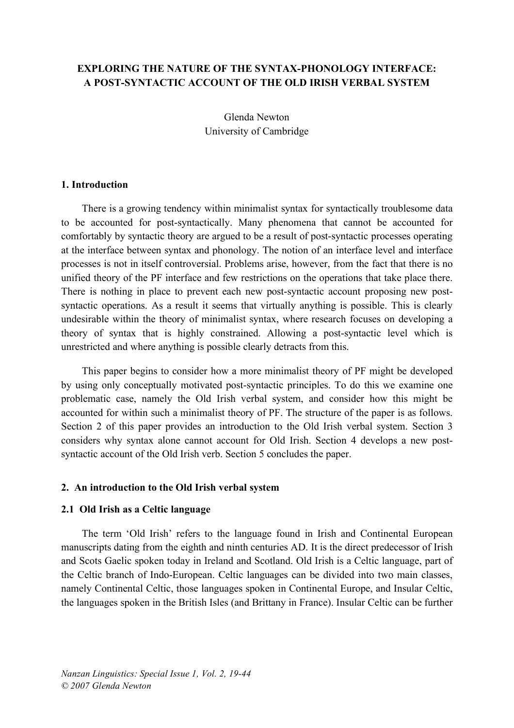# **EXPLORING THE NATURE OF THE SYNTAX-PHONOLOGY INTERFACE: A POST-SYNTACTIC ACCOUNT OF THE OLD IRISH VERBAL SYSTEM**

Glenda Newton University of Cambridge

### **1. Introduction**

There is a growing tendency within minimalist syntax for syntactically troublesome data to be accounted for post-syntactically. Many phenomena that cannot be accounted for comfortably by syntactic theory are argued to be a result of post-syntactic processes operating at the interface between syntax and phonology. The notion of an interface level and interface processes is not in itself controversial. Problems arise, however, from the fact that there is no unified theory of the PF interface and few restrictions on the operations that take place there. There is nothing in place to prevent each new post-syntactic account proposing new postsyntactic operations. As a result it seems that virtually anything is possible. This is clearly undesirable within the theory of minimalist syntax, where research focuses on developing a theory of syntax that is highly constrained. Allowing a post-syntactic level which is unrestricted and where anything is possible clearly detracts from this.

This paper begins to consider how a more minimalist theory of PF might be developed by using only conceptually motivated post-syntactic principles. To do this we examine one problematic case, namely the Old Irish verbal system, and consider how this might be accounted for within such a minimalist theory of PF. The structure of the paper is as follows. Section 2 of this paper provides an introduction to the Old Irish verbal system. Section 3 considers why syntax alone cannot account for Old Irish. Section 4 develops a new postsyntactic account of the Old Irish verb. Section 5 concludes the paper.

### **2. An introduction to the Old Irish verbal system**

### **2.1 Old Irish as a Celtic language**

The term 'Old Irish' refers to the language found in Irish and Continental European manuscripts dating from the eighth and ninth centuries AD. It is the direct predecessor of Irish and Scots Gaelic spoken today in Ireland and Scotland. Old Irish is a Celtic language, part of the Celtic branch of Indo-European. Celtic languages can be divided into two main classes, namely Continental Celtic, those languages spoken in Continental Europe, and Insular Celtic, the languages spoken in the British Isles (and Brittany in France). Insular Celtic can be further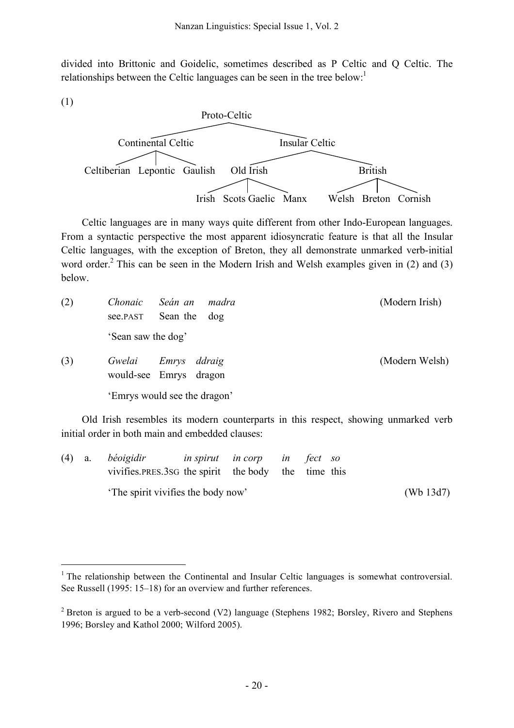divided into Brittonic and Goidelic, sometimes described as P Celtic and Q Celtic. The relationships between the Celtic languages can be seen in the tree below:<sup>1</sup>



Celtic languages are in many ways quite different from other Indo-European languages. From a syntactic perspective the most apparent idiosyncratic feature is that all the Insular Celtic languages, with the exception of Breton, they all demonstrate unmarked verb-initial word order.<sup>2</sup> This can be seen in the Modern Irish and Welsh examples given in (2) and (3) below.

| (2) | Chonaic<br>Seán an<br>madra<br>Sean the dog<br>see.PAST                            | (Modern Irish) |
|-----|------------------------------------------------------------------------------------|----------------|
|     | 'Sean saw the dog'                                                                 |                |
| (3) | Gwelai<br>Emrys<br>ddraig<br>would-see Emrys dragon                                | (Modern Welsh) |
|     | 'Emrys would see the dragon'                                                       |                |
|     | Old Irish resembles its modern counterparts in this respect, showing unmarked verb |                |

initial order in both main and embedded clauses:

|  | $(4)$ a. <i>béoigidir</i>                             | <i>in spirut in corp in fect so</i> |  |  |              |
|--|-------------------------------------------------------|-------------------------------------|--|--|--------------|
|  | vivifies. PRES. 3sG the spirit the body the time this |                                     |  |  |              |
|  | The spirit vivifies the body now'                     |                                     |  |  | (Wb $13d7$ ) |

<sup>&</sup>lt;sup>1</sup> The relationship between the Continental and Insular Celtic languages is somewhat controversial. See Russell (1995: 15–18) for an overview and further references.

<sup>&</sup>lt;sup>2</sup> Breton is argued to be a verb-second (V2) language (Stephens 1982; Borsley, Rivero and Stephens 1996; Borsley and Kathol 2000; Wilford 2005).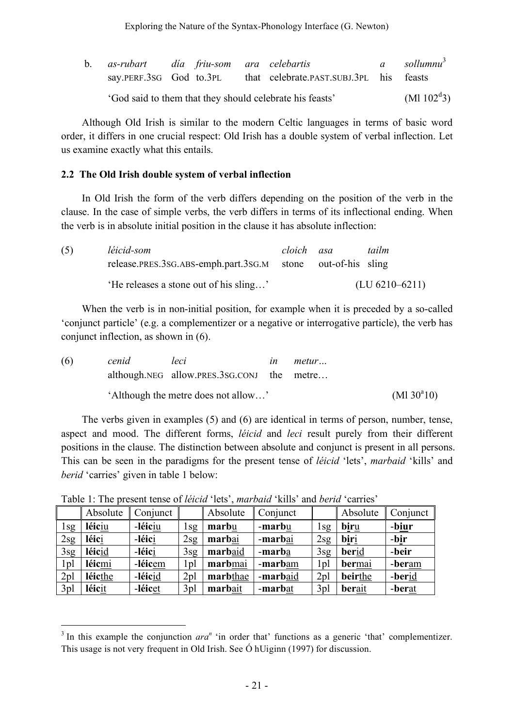| $\mathbf{b}$ . | as-rubart dia friu-som ara celebartis                    |  |  |  |                                         |  | a sollumnu <sup>3</sup> |
|----------------|----------------------------------------------------------|--|--|--|-----------------------------------------|--|-------------------------|
|                | say.PERF.3SG God to.3PL                                  |  |  |  | that celebrate.past.subj.3pl his feasts |  |                         |
|                | 'God said to them that they should celebrate his feasts' |  |  |  |                                         |  | $(M1102^d3)$            |

Although Old Irish is similar to the modern Celtic languages in terms of basic word order, it differs in one crucial respect: Old Irish has a double system of verbal inflection. Let us examine exactly what this entails.

## **2.2 The Old Irish double system of verbal inflection**

In Old Irish the form of the verb differs depending on the position of the verb in the clause. In the case of simple verbs, the verb differs in terms of its inflectional ending. When the verb is in absolute initial position in the clause it has absolute inflection:

| (5) | léicid-som                                                  | cloich asa | tailm              |
|-----|-------------------------------------------------------------|------------|--------------------|
|     | release.PRES.3SG.ABS-emph.part.3SG.M stone out-of-his sling |            |                    |
|     | 'He releases a stone out of his sling'                      |            | $(LU 6210 - 6211)$ |

When the verb is in non-initial position, for example when it is preceded by a so-called 'conjunct particle' (e.g. a complementizer or a negative or interrogative particle), the verb has conjunct inflection, as shown in (6).

| (6) | cenid                               | leci                                       | ın                  | metur |  |
|-----|-------------------------------------|--------------------------------------------|---------------------|-------|--|
|     |                                     | although.NEG allow.PRES.3SG.CONJ the metre |                     |       |  |
|     | 'Although the metre does not allow' |                                            | $(M1 30^{\circ}10)$ |       |  |

The verbs given in examples (5) and (6) are identical in terms of person, number, tense, aspect and mood. The different forms, *léicid* and *leci* result purely from their different positions in the clause. The distinction between absolute and conjunct is present in all persons. This can be seen in the paradigms for the present tense of *léicid* 'lets', *marbaid* 'kills' and *berid* 'carries' given in table 1 below:

|                 | Absolute | Conjunct |                 | Absolute | Conjunct       |                 | Absolute      | Conjunct |
|-----------------|----------|----------|-----------------|----------|----------------|-----------------|---------------|----------|
| 1sg             | léiciu   | -léiciu  | 1sg             | marbu    | - <b>marbu</b> | 1sg             | <u>biru</u>   | -biur    |
| 2sg             | léici    | -léici   | 2sg             | marbai   | -marbai        | 2sg             | <u>biri</u>   | -bir     |
| 3sg             | léicid   | -léici   | 3sg             | marbaid  | -marba         | 3sg             | berid         | -beir    |
| 1 <sub>pl</sub> | léicmi   | -léicem  | 1 <sub>pl</sub> | marbmai  | -marbam        | 1 <sub>pl</sub> | <b>bermai</b> | -beram   |
| 2 <sub>pl</sub> | léicthe  | -léicid  | 2 <sub>pl</sub> | marbthae | -marbaid       | 2 <sub>pl</sub> | beirthe       | -berid   |
| 3 <sub>pl</sub> | léicit   | -léicet  | 3 <sub>pl</sub> | marbait  | -marbat        | 3 <sub>pl</sub> | berait        | -berat   |

Table 1: The present tense of *léicid* 'lets', *marbaid* 'kills' and *berid* 'carries'

 $3$  In this example the conjunction  $ara^n$  'in order that' functions as a generic 'that' complementizer. This usage is not very frequent in Old Irish. See Ó hUiginn (1997) for discussion.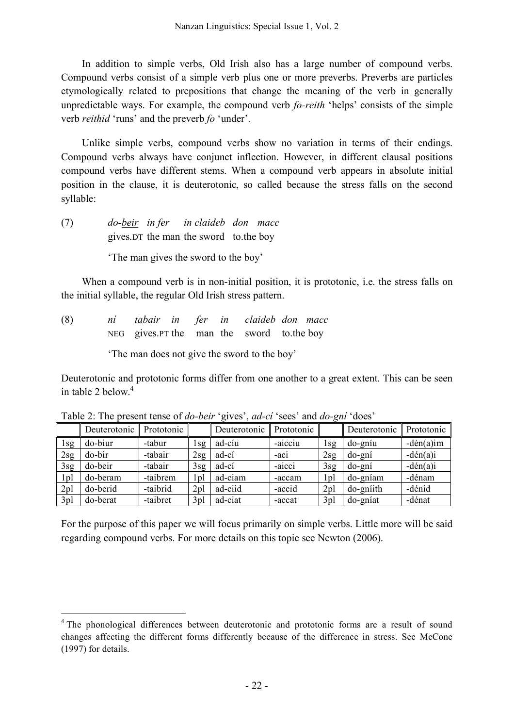In addition to simple verbs, Old Irish also has a large number of compound verbs. Compound verbs consist of a simple verb plus one or more preverbs. Preverbs are particles etymologically related to prepositions that change the meaning of the verb in generally unpredictable ways. For example, the compound verb *fo-reith* 'helps' consists of the simple verb *reithid* 'runs' and the preverb *fo* 'under'.

Unlike simple verbs, compound verbs show no variation in terms of their endings. Compound verbs always have conjunct inflection. However, in different clausal positions compound verbs have different stems. When a compound verb appears in absolute initial position in the clause, it is deuterotonic, so called because the stress falls on the second syllable:

(7) *do-beir in fer in claideb don macc* gives.DT the man the sword to.the boy

'The man gives the sword to the boy'

When a compound verb is in non-initial position, it is prototonic, i.e. the stress falls on the initial syllable, the regular Old Irish stress pattern.

(8) *ní tabair in fer in claideb don macc* NEG gives.PT the man the sword to.the boy

'The man does not give the sword to the boy'

Deuterotonic and prototonic forms differ from one another to a great extent. This can be seen in table 2 below. 4

|                 | Deuterotonic $\ $ | Prototonic |                 | Deuterotonic | Prototonic |                 | Deuterotonic | Prototonic   |
|-----------------|-------------------|------------|-----------------|--------------|------------|-----------------|--------------|--------------|
| l sg            | do-biur           | -tabur     | l sg            | ad-cíu       | -aicciu    | i sg            | do-gníu      | $-dén(a)$ im |
| 2sg             | do-bir            | -tabair    | 2sg             | ad-cí        | $-ac1$     | 2sg             | do-gní       | $-dén(a)i$   |
| 3sg             | do-beir           | -tabair    | 3sg             | ad-cí        | $-a1cc1$   | 3sg             | do-gní       | $-dén(a)i$   |
| l pl            | do-beram          | -taibrem   | l pl            | ad-ciam      | -accam     | l pl            | do-gníam     | -dénam       |
| 2 <sub>pl</sub> | do-berid          | -taibrid   | 2 <sub>pl</sub> | ad-ciid      | -accid     | 2 <sub>pl</sub> | do-gniith    | -dénid       |
| 3pl             | do-berat          | -taibret   | 3 <sub>pl</sub> | ad-ciat      | -accat     | 3pl             | do-gníat     | -dénat       |

Table 2: The present tense of *do-beir* 'gives', *ad-cí* 'sees' and *do-gní* 'does'

For the purpose of this paper we will focus primarily on simple verbs. Little more will be said regarding compound verbs. For more details on this topic see Newton (2006).

<sup>&</sup>lt;sup>4</sup> The phonological differences between deuterotonic and prototonic forms are a result of sound changes affecting the different forms differently because of the difference in stress. See McCone (1997) for details.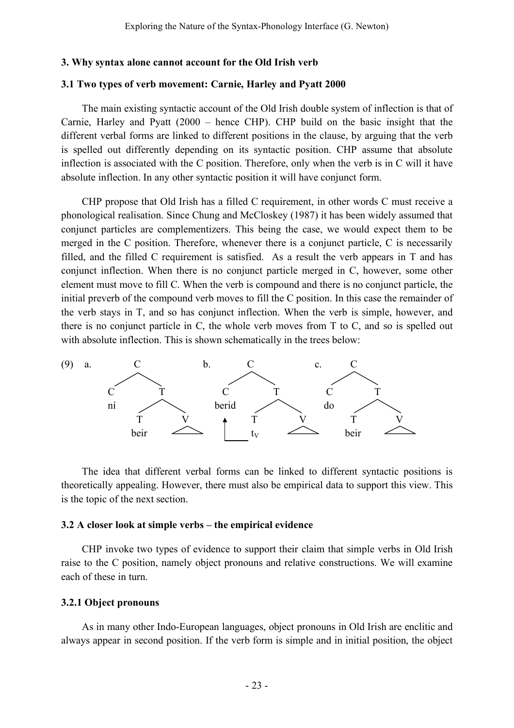#### **3. Why syntax alone cannot account for the Old Irish verb**

#### **3.1 Two types of verb movement: Carnie, Harley and Pyatt 2000**

The main existing syntactic account of the Old Irish double system of inflection is that of Carnie, Harley and Pyatt (2000 – hence CHP). CHP build on the basic insight that the different verbal forms are linked to different positions in the clause, by arguing that the verb is spelled out differently depending on its syntactic position. CHP assume that absolute inflection is associated with the C position. Therefore, only when the verb is in C will it have absolute inflection. In any other syntactic position it will have conjunct form.

CHP propose that Old Irish has a filled C requirement, in other words C must receive a phonological realisation. Since Chung and McCloskey (1987) it has been widely assumed that conjunct particles are complementizers. This being the case, we would expect them to be merged in the C position. Therefore, whenever there is a conjunct particle, C is necessarily filled, and the filled C requirement is satisfied. As a result the verb appears in T and has conjunct inflection. When there is no conjunct particle merged in C, however, some other element must move to fill C. When the verb is compound and there is no conjunct particle, the initial preverb of the compound verb moves to fill the C position. In this case the remainder of the verb stays in T, and so has conjunct inflection. When the verb is simple, however, and there is no conjunct particle in C, the whole verb moves from T to C, and so is spelled out with absolute inflection. This is shown schematically in the trees below:



The idea that different verbal forms can be linked to different syntactic positions is theoretically appealing. However, there must also be empirical data to support this view. This is the topic of the next section.

### **3.2 A closer look at simple verbs – the empirical evidence**

CHP invoke two types of evidence to support their claim that simple verbs in Old Irish raise to the C position, namely object pronouns and relative constructions. We will examine each of these in turn.

#### **3.2.1 Object pronouns**

As in many other Indo-European languages, object pronouns in Old Irish are enclitic and always appear in second position. If the verb form is simple and in initial position, the object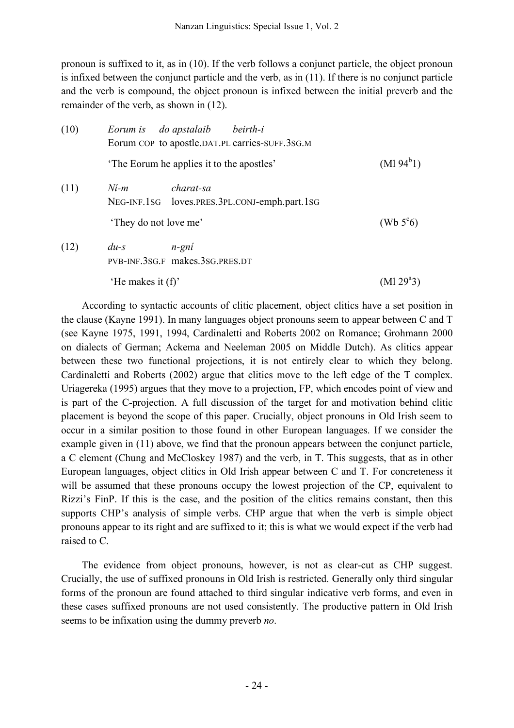pronoun is suffixed to it, as in (10). If the verb follows a conjunct particle, the object pronoun is infixed between the conjunct particle and the verb, as in (11). If there is no conjunct particle and the verb is compound, the object pronoun is infixed between the initial preverb and the remainder of the verb, as shown in (12).

| (10) | do apstalaib beirth-i<br>Eorum is<br>Eorum COP to apostle.DAT.PL carries-SUFF.3SG.M |                    |
|------|-------------------------------------------------------------------------------------|--------------------|
|      | The Eorum he applies it to the apostles'                                            | $(M194^b1)$        |
| (11) | charat-sa<br>$N$ <i>i</i> -m<br>NEG-INF.1SG loves.PRES.3PL.CONJ-emph.part.1SG       |                    |
|      | 'They do not love me'                                                               | (Wb $5^{\circ}6$ ) |
| (12) | $du-s$<br>n-gní<br>PVB-INF.3SG.F makes.3SG.PRES.DT                                  |                    |
|      | 'He makes it $(f)$ '                                                                | $(Ml 29^a 3)$      |

According to syntactic accounts of clitic placement, object clitics have a set position in the clause (Kayne 1991). In many languages object pronouns seem to appear between C and T (see Kayne 1975, 1991, 1994, Cardinaletti and Roberts 2002 on Romance; Grohmann 2000 on dialects of German; Ackema and Neeleman 2005 on Middle Dutch). As clitics appear between these two functional projections, it is not entirely clear to which they belong. Cardinaletti and Roberts (2002) argue that clitics move to the left edge of the T complex. Uriagereka (1995) argues that they move to a projection, FP, which encodes point of view and is part of the C-projection. A full discussion of the target for and motivation behind clitic placement is beyond the scope of this paper. Crucially, object pronouns in Old Irish seem to occur in a similar position to those found in other European languages. If we consider the example given in (11) above, we find that the pronoun appears between the conjunct particle, a C element (Chung and McCloskey 1987) and the verb, in T. This suggests, that as in other European languages, object clitics in Old Irish appear between C and T. For concreteness it will be assumed that these pronouns occupy the lowest projection of the CP, equivalent to Rizzi's FinP. If this is the case, and the position of the clitics remains constant, then this supports CHP's analysis of simple verbs. CHP argue that when the verb is simple object pronouns appear to its right and are suffixed to it; this is what we would expect if the verb had raised to C.

The evidence from object pronouns, however, is not as clear-cut as CHP suggest. Crucially, the use of suffixed pronouns in Old Irish is restricted. Generally only third singular forms of the pronoun are found attached to third singular indicative verb forms, and even in these cases suffixed pronouns are not used consistently. The productive pattern in Old Irish seems to be infixation using the dummy preverb *no*.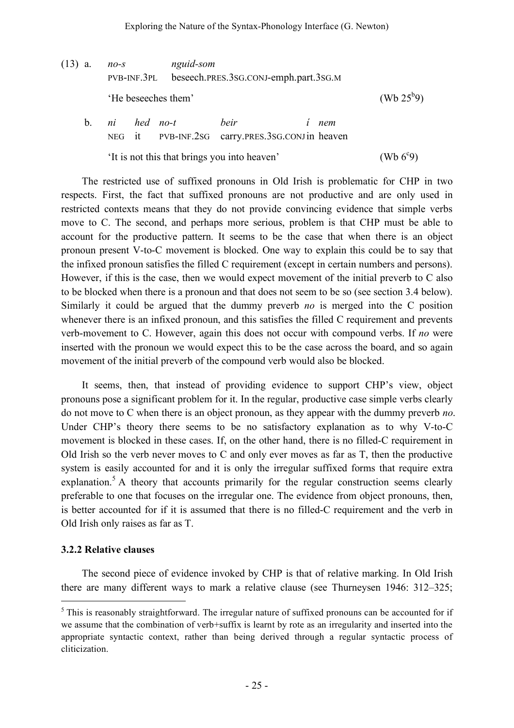(13) a. *no-s nguid-som* PVB-INF.3PL beseech.PRES.3SG.CONJ-emph.part.3SG.M 'He beseeches them' (Wb  $25^{b}9$ ) b. *ni hed no-t beir í nem* NEG it PVB-INF.2SG carry.PRES.3SG.CONJin heaven

> 'It is not this that brings you into heaven'  $(Wb 6°9)$

The restricted use of suffixed pronouns in Old Irish is problematic for CHP in two respects. First, the fact that suffixed pronouns are not productive and are only used in restricted contexts means that they do not provide convincing evidence that simple verbs move to C. The second, and perhaps more serious, problem is that CHP must be able to account for the productive pattern. It seems to be the case that when there is an object pronoun present V-to-C movement is blocked. One way to explain this could be to say that the infixed pronoun satisfies the filled C requirement (except in certain numbers and persons). However, if this is the case, then we would expect movement of the initial preverb to C also to be blocked when there is a pronoun and that does not seem to be so (see section 3.4 below). Similarly it could be argued that the dummy preverb *no* is merged into the C position whenever there is an infixed pronoun, and this satisfies the filled C requirement and prevents verb-movement to C. However, again this does not occur with compound verbs. If *no* were inserted with the pronoun we would expect this to be the case across the board, and so again movement of the initial preverb of the compound verb would also be blocked.

It seems, then, that instead of providing evidence to support CHP's view, object pronouns pose a significant problem for it. In the regular, productive case simple verbs clearly do not move to C when there is an object pronoun, as they appear with the dummy preverb *no*. Under CHP's theory there seems to be no satisfactory explanation as to why V-to-C movement is blocked in these cases. If, on the other hand, there is no filled-C requirement in Old Irish so the verb never moves to C and only ever moves as far as T, then the productive system is easily accounted for and it is only the irregular suffixed forms that require extra explanation.<sup>5</sup> A theory that accounts primarily for the regular construction seems clearly preferable to one that focuses on the irregular one. The evidence from object pronouns, then, is better accounted for if it is assumed that there is no filled-C requirement and the verb in Old Irish only raises as far as T.

### **3.2.2 Relative clauses**

The second piece of evidence invoked by CHP is that of relative marking. In Old Irish there are many different ways to mark a relative clause (see Thurneysen 1946: 312–325;

 $<sup>5</sup>$  This is reasonably straightforward. The irregular nature of suffixed pronouns can be accounted for if</sup> we assume that the combination of verb+suffix is learnt by rote as an irregularity and inserted into the appropriate syntactic context, rather than being derived through a regular syntactic process of cliticization.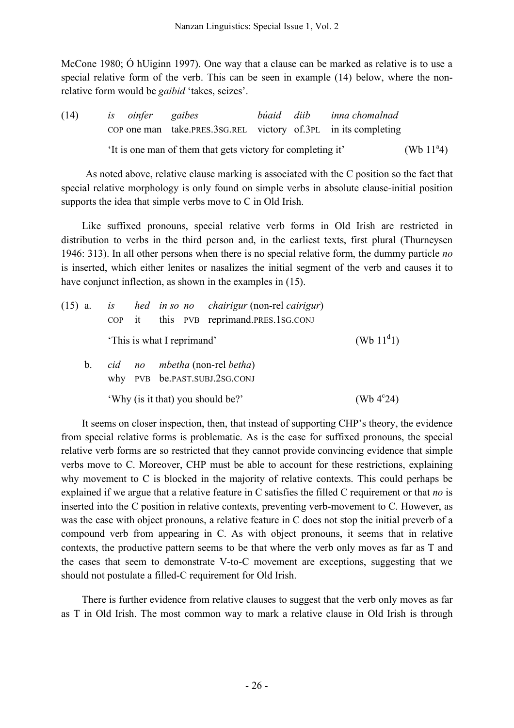McCone 1980; Ó hUiginn 1997). One way that a clause can be marked as relative is to use a special relative form of the verb. This can be seen in example (14) below, where the nonrelative form would be *gaibid* 'takes, seizes'.

(14) *is oinfer gaibes búaid diib inna chomalnad* COP one man take.PRES.3SG.REL victory of.3PL in its completing 'It is one man of them that gets victory for completing it' (Wb  $11^{\circ}4$ )

As noted above, relative clause marking is associated with the C position so the fact that special relative morphology is only found on simple verbs in absolute clause-initial position supports the idea that simple verbs move to C in Old Irish.

Like suffixed pronouns, special relative verb forms in Old Irish are restricted in distribution to verbs in the third person and, in the earliest texts, first plural (Thurneysen 1946: 313). In all other persons when there is no special relative form, the dummy particle *no* is inserted, which either lenites or nasalizes the initial segment of the verb and causes it to have conjunct inflection, as shown in the examples in  $(15)$ .

|         |  |                            | $(15)$ a. is hed in so no chairigur (non-rel cairigur)<br>COP it this PVB reprimand.PRES.1SG.CONJ |                     |
|---------|--|----------------------------|---------------------------------------------------------------------------------------------------|---------------------|
|         |  | 'This is what I reprimand' |                                                                                                   | (Wb $11^d$ 1)       |
| $b_{1}$ |  |                            | cid no mbetha (non-rel betha)<br>why PVB be.PAST.SUBJ.2SG.CONJ                                    |                     |
|         |  |                            | 'Why (is it that) you should be?'                                                                 | (Wb $4^{\circ}24$ ) |

It seems on closer inspection, then, that instead of supporting CHP's theory, the evidence from special relative forms is problematic. As is the case for suffixed pronouns, the special relative verb forms are so restricted that they cannot provide convincing evidence that simple verbs move to C. Moreover, CHP must be able to account for these restrictions, explaining why movement to C is blocked in the majority of relative contexts. This could perhaps be explained if we argue that a relative feature in C satisfies the filled C requirement or that *no* is inserted into the C position in relative contexts, preventing verb-movement to C. However, as was the case with object pronouns, a relative feature in C does not stop the initial preverb of a compound verb from appearing in C. As with object pronouns, it seems that in relative contexts, the productive pattern seems to be that where the verb only moves as far as T and the cases that seem to demonstrate V-to-C movement are exceptions, suggesting that we should not postulate a filled-C requirement for Old Irish.

There is further evidence from relative clauses to suggest that the verb only moves as far as T in Old Irish. The most common way to mark a relative clause in Old Irish is through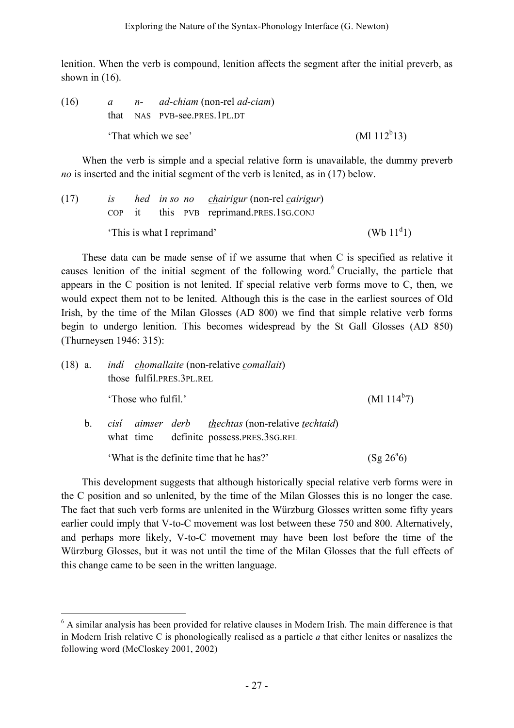lenition. When the verb is compound, lenition affects the segment after the initial preverb, as shown in  $(16)$ .

(16) *a n- ad-chiam* (non-rel *ad-ciam*) that NAS PVB-see.PRES.1PL.DT 'That which we see'  $(M112^{b}13)$ 

When the verb is simple and a special relative form is unavailable, the dummy preverb *no* is inserted and the initial segment of the verb is lenited, as in (17) below.

| (17) |  |                            | is hed in so no chairigur (non-rel cairigur) |               |
|------|--|----------------------------|----------------------------------------------|---------------|
|      |  |                            | COP it this PVB reprimand.PRES.1SG.CONJ      |               |
|      |  | 'This is what I reprimand' |                                              | (Wb $11^d$ 1) |

These data can be made sense of if we assume that when C is specified as relative it causes lenition of the initial segment of the following word.<sup>6</sup> Crucially, the particle that appears in the C position is not lenited. If special relative verb forms move to C, then, we would expect them not to be lenited. Although this is the case in the earliest sources of Old Irish, by the time of the Milan Glosses (AD 800) we find that simple relative verb forms begin to undergo lenition. This becomes widespread by the St Gall Glosses (AD 850) (Thurneysen 1946: 315):

| $(18)$ a. |         | <i>indi chomallaite</i> (non-relative <i>comallait</i> )<br>those fulfil.PRES.3PL.REL                  |                    |
|-----------|---------|--------------------------------------------------------------------------------------------------------|--------------------|
|           |         | 'Those who fulfil.'                                                                                    | $(Ml 114^b7)$      |
|           | $b_{-}$ | cisí aimser derb <u>thechtas</u> (non-relative techtaid)<br>definite possess.PRES.3SG.REL<br>what time |                    |
|           |         | 'What is the definite time that he has?'                                                               | $(Sg 26^{\circ}6)$ |

This development suggests that although historically special relative verb forms were in the C position and so unlenited, by the time of the Milan Glosses this is no longer the case. The fact that such verb forms are unlenited in the Würzburg Glosses written some fifty years earlier could imply that V-to-C movement was lost between these 750 and 800. Alternatively, and perhaps more likely, V-to-C movement may have been lost before the time of the Würzburg Glosses, but it was not until the time of the Milan Glosses that the full effects of this change came to be seen in the written language.

 <sup>6</sup> <sup>A</sup> similar analysis has been provided for relative clauses in Modern Irish. The main difference is that in Modern Irish relative C is phonologically realised as a particle *a* that either lenites or nasalizes the following word (McCloskey 2001, 2002)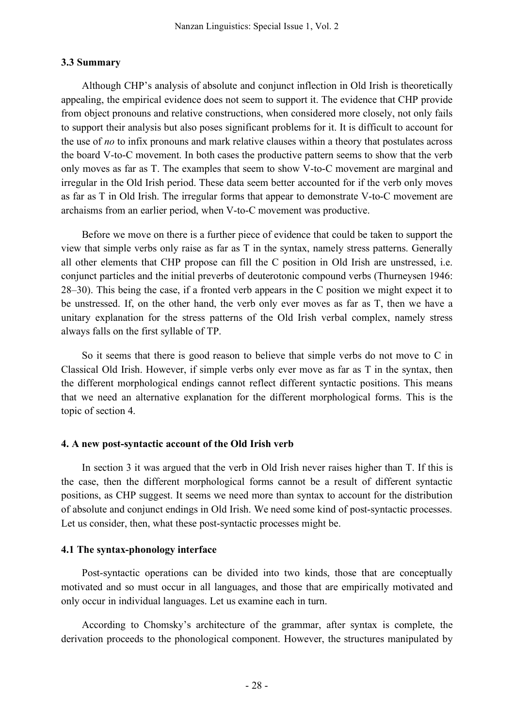## **3.3 Summary**

Although CHP's analysis of absolute and conjunct inflection in Old Irish is theoretically appealing, the empirical evidence does not seem to support it. The evidence that CHP provide from object pronouns and relative constructions, when considered more closely, not only fails to support their analysis but also poses significant problems for it. It is difficult to account for the use of *no* to infix pronouns and mark relative clauses within a theory that postulates across the board V-to-C movement. In both cases the productive pattern seems to show that the verb only moves as far as T. The examples that seem to show V-to-C movement are marginal and irregular in the Old Irish period. These data seem better accounted for if the verb only moves as far as T in Old Irish. The irregular forms that appear to demonstrate V-to-C movement are archaisms from an earlier period, when V-to-C movement was productive.

Before we move on there is a further piece of evidence that could be taken to support the view that simple verbs only raise as far as T in the syntax, namely stress patterns. Generally all other elements that CHP propose can fill the C position in Old Irish are unstressed, i.e. conjunct particles and the initial preverbs of deuterotonic compound verbs (Thurneysen 1946: 28–30). This being the case, if a fronted verb appears in the C position we might expect it to be unstressed. If, on the other hand, the verb only ever moves as far as T, then we have a unitary explanation for the stress patterns of the Old Irish verbal complex, namely stress always falls on the first syllable of TP.

So it seems that there is good reason to believe that simple verbs do not move to C in Classical Old Irish. However, if simple verbs only ever move as far as T in the syntax, then the different morphological endings cannot reflect different syntactic positions. This means that we need an alternative explanation for the different morphological forms. This is the topic of section 4.

## **4. A new post-syntactic account of the Old Irish verb**

In section 3 it was argued that the verb in Old Irish never raises higher than T. If this is the case, then the different morphological forms cannot be a result of different syntactic positions, as CHP suggest. It seems we need more than syntax to account for the distribution of absolute and conjunct endings in Old Irish. We need some kind of post-syntactic processes. Let us consider, then, what these post-syntactic processes might be.

## **4.1 The syntax-phonology interface**

Post-syntactic operations can be divided into two kinds, those that are conceptually motivated and so must occur in all languages, and those that are empirically motivated and only occur in individual languages. Let us examine each in turn.

According to Chomsky's architecture of the grammar, after syntax is complete, the derivation proceeds to the phonological component. However, the structures manipulated by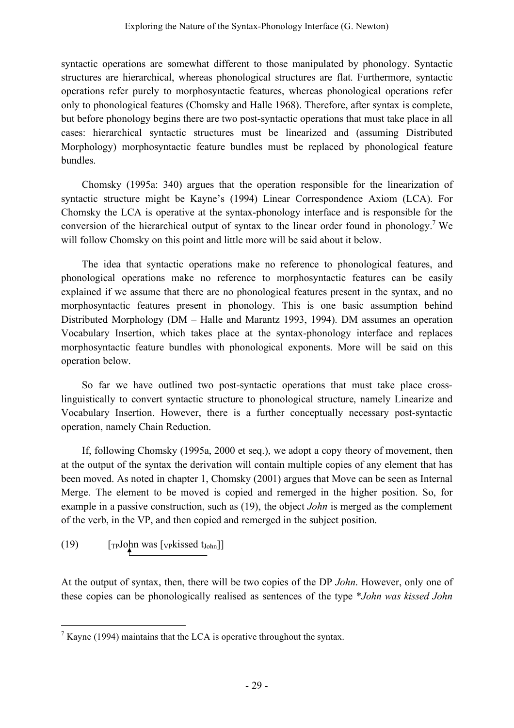syntactic operations are somewhat different to those manipulated by phonology. Syntactic structures are hierarchical, whereas phonological structures are flat. Furthermore, syntactic operations refer purely to morphosyntactic features, whereas phonological operations refer only to phonological features (Chomsky and Halle 1968). Therefore, after syntax is complete, but before phonology begins there are two post-syntactic operations that must take place in all cases: hierarchical syntactic structures must be linearized and (assuming Distributed Morphology) morphosyntactic feature bundles must be replaced by phonological feature bundles.

Chomsky (1995a: 340) argues that the operation responsible for the linearization of syntactic structure might be Kayne's (1994) Linear Correspondence Axiom (LCA). For Chomsky the LCA is operative at the syntax-phonology interface and is responsible for the conversion of the hierarchical output of syntax to the linear order found in phonology.7 We will follow Chomsky on this point and little more will be said about it below.

The idea that syntactic operations make no reference to phonological features, and phonological operations make no reference to morphosyntactic features can be easily explained if we assume that there are no phonological features present in the syntax, and no morphosyntactic features present in phonology. This is one basic assumption behind Distributed Morphology (DM – Halle and Marantz 1993, 1994). DM assumes an operation Vocabulary Insertion, which takes place at the syntax-phonology interface and replaces morphosyntactic feature bundles with phonological exponents. More will be said on this operation below.

So far we have outlined two post-syntactic operations that must take place crosslinguistically to convert syntactic structure to phonological structure, namely Linearize and Vocabulary Insertion. However, there is a further conceptually necessary post-syntactic operation, namely Chain Reduction.

If, following Chomsky (1995a, 2000 et seq.), we adopt a copy theory of movement, then at the output of the syntax the derivation will contain multiple copies of any element that has been moved. As noted in chapter 1, Chomsky (2001) argues that Move can be seen as Internal Merge. The element to be moved is copied and remerged in the higher position. So, for example in a passive construction, such as (19), the object *John* is merged as the complement of the verb, in the VP, and then copied and remerged in the subject position.

(19)  $[\text{TPJohn was [vpkissed t<sub>John</sub>]]}$ 

At the output of syntax, then, there will be two copies of the DP *John*. However, only one of these copies can be phonologically realised as sentences of the type \**John was kissed John*

 $\frac{7}{1}$  Kayne (1994) maintains that the LCA is operative throughout the syntax.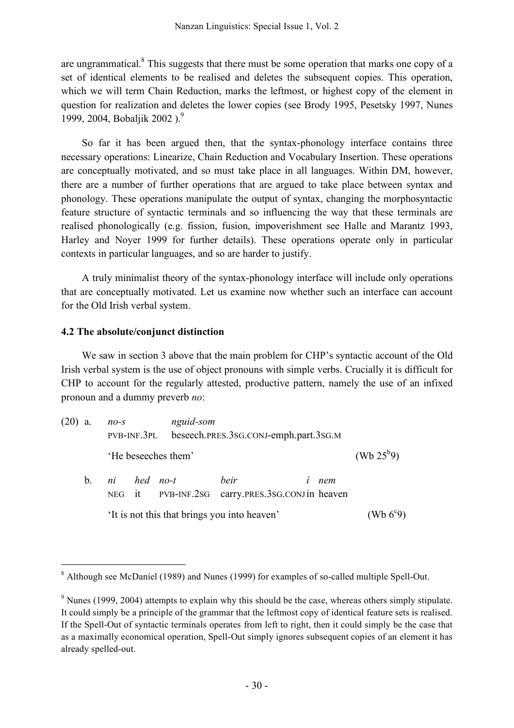are ungrammatical. $8$  This suggests that there must be some operation that marks one copy of a set of identical elements to be realised and deletes the subsequent copies. This operation, which we will term Chain Reduction, marks the leftmost, or highest copy of the element in question for realization and deletes the lower copies (see Brody 1995, Pesetsky 1997, Nunes 1999, 2004, Bobaljik 2002 ). 9

So far it has been argued then, that the syntax-phonology interface contains three necessary operations: Linearize, Chain Reduction and Vocabulary Insertion. These operations are conceptually motivated, and so must take place in all languages. Within DM, however, there are a number of further operations that are argued to take place between syntax and phonology. These operations manipulate the output of syntax, changing the morphosyntactic feature structure of syntactic terminals and so influencing the way that these terminals are realised phonologically (e.g. fission, fusion, impoverishment see Halle and Marantz 1993, Harley and Noyer 1999 for further details). These operations operate only in particular contexts in particular languages, and so are harder to justify.

A truly minimalist theory of the syntax-phonology interface will include only operations that are conceptually motivated. Let us examine now whether such an interface can account for the Old Irish verbal system.

# **4.2 The absolute/conjunct distinction**

We saw in section 3 above that the main problem for CHP's syntactic account of the Old Irish verbal system is the use of object pronouns with simple verbs. Crucially it is difficult for CHP to account for the regularly attested, productive pattern, namely the use of an infixed pronoun and a dummy preverb *no*:

| (20) | a.                                                                            | $no-s$                                       | PVB-INF.3PL |                     | nguid-som<br>beseech.PRES.3SG.CONJ-emph.part.3SG.M |   |     |                    |  |  |
|------|-------------------------------------------------------------------------------|----------------------------------------------|-------------|---------------------|----------------------------------------------------|---|-----|--------------------|--|--|
|      |                                                                               |                                              |             | 'He beseeches them' |                                                    |   |     | (Wb $25^{b}9$ )    |  |  |
|      | ni hed no-t<br>$b_{\perp}$<br>NEG it PVB-INF.2sG carry.PRES.3sG.CONJin heaven |                                              |             |                     | heir                                               | Ĺ | nem |                    |  |  |
|      |                                                                               | 'It is not this that brings you into heaven' |             |                     |                                                    |   |     | (Wb $6^{\circ}9$ ) |  |  |

<sup>&</sup>lt;sup>8</sup> Although see McDaniel (1989) and Nunes (1999) for examples of so-called multiple Spell-Out.

<sup>&</sup>lt;sup>9</sup> Nunes (1999, 2004) attempts to explain why this should be the case, whereas others simply stipulate. It could simply be a principle of the grammar that the leftmost copy of identical feature sets is realised. If the Spell-Out of syntactic terminals operates from left to right, then it could simply be the case that as a maximally economical operation, Spell-Out simply ignores subsequent copies of an element it has already spelled-out.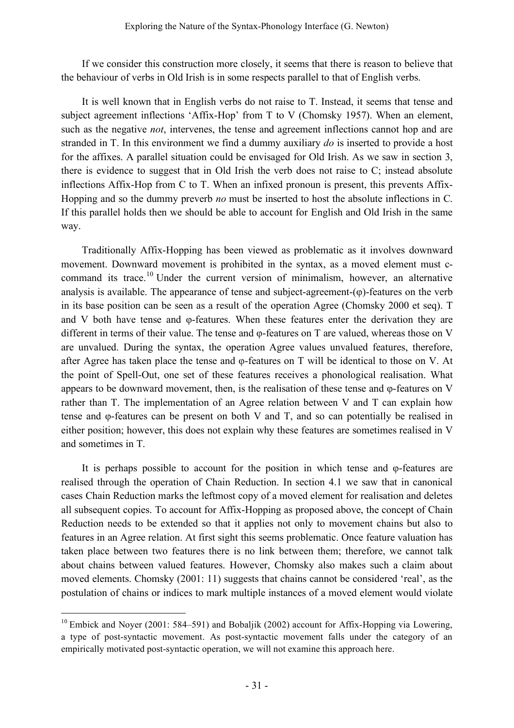If we consider this construction more closely, it seems that there is reason to believe that the behaviour of verbs in Old Irish is in some respects parallel to that of English verbs.

It is well known that in English verbs do not raise to T. Instead, it seems that tense and subject agreement inflections 'Affix-Hop' from T to V (Chomsky 1957). When an element, such as the negative *not*, intervenes, the tense and agreement inflections cannot hop and are stranded in T. In this environment we find a dummy auxiliary *do* is inserted to provide a host for the affixes. A parallel situation could be envisaged for Old Irish. As we saw in section 3, there is evidence to suggest that in Old Irish the verb does not raise to C; instead absolute inflections Affix-Hop from C to T. When an infixed pronoun is present, this prevents Affix-Hopping and so the dummy preverb *no* must be inserted to host the absolute inflections in C. If this parallel holds then we should be able to account for English and Old Irish in the same way.

Traditionally Affix-Hopping has been viewed as problematic as it involves downward movement. Downward movement is prohibited in the syntax, as a moved element must ccommand its trace.<sup>10</sup> Under the current version of minimalism, however, an alternative analysis is available. The appearance of tense and subject-agreement-(φ)-features on the verb in its base position can be seen as a result of the operation Agree (Chomsky 2000 et seq). T and V both have tense and φ-features. When these features enter the derivation they are different in terms of their value. The tense and φ-features on T are valued, whereas those on V are unvalued. During the syntax, the operation Agree values unvalued features, therefore, after Agree has taken place the tense and φ-features on T will be identical to those on V. At the point of Spell-Out, one set of these features receives a phonological realisation. What appears to be downward movement, then, is the realisation of these tense and φ-features on V rather than T. The implementation of an Agree relation between V and T can explain how tense and φ-features can be present on both V and T, and so can potentially be realised in either position; however, this does not explain why these features are sometimes realised in V and sometimes in T.

It is perhaps possible to account for the position in which tense and φ-features are realised through the operation of Chain Reduction. In section 4.1 we saw that in canonical cases Chain Reduction marks the leftmost copy of a moved element for realisation and deletes all subsequent copies. To account for Affix-Hopping as proposed above, the concept of Chain Reduction needs to be extended so that it applies not only to movement chains but also to features in an Agree relation. At first sight this seems problematic. Once feature valuation has taken place between two features there is no link between them; therefore, we cannot talk about chains between valued features. However, Chomsky also makes such a claim about moved elements. Chomsky (2001: 11) suggests that chains cannot be considered 'real', as the postulation of chains or indices to mark multiple instances of a moved element would violate

<sup>&</sup>lt;sup>10</sup> Embick and Noyer (2001: 584–591) and Bobaljik (2002) account for Affix-Hopping via Lowering, a type of post-syntactic movement. As post-syntactic movement falls under the category of an empirically motivated post-syntactic operation, we will not examine this approach here.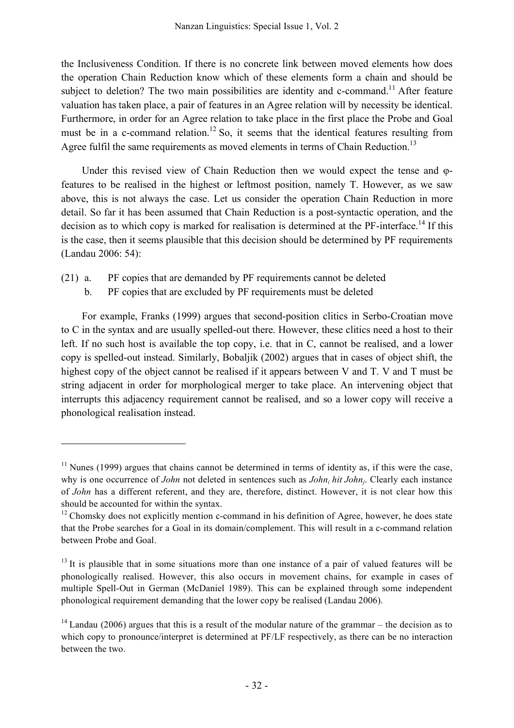the Inclusiveness Condition. If there is no concrete link between moved elements how does the operation Chain Reduction know which of these elements form a chain and should be subject to deletion? The two main possibilities are identity and c-command.<sup>11</sup> After feature valuation has taken place, a pair of features in an Agree relation will by necessity be identical. Furthermore, in order for an Agree relation to take place in the first place the Probe and Goal must be in a c-command relation.<sup>12</sup> So, it seems that the identical features resulting from Agree fulfil the same requirements as moved elements in terms of Chain Reduction.<sup>13</sup>

Under this revised view of Chain Reduction then we would expect the tense and φfeatures to be realised in the highest or leftmost position, namely T. However, as we saw above, this is not always the case. Let us consider the operation Chain Reduction in more detail. So far it has been assumed that Chain Reduction is a post-syntactic operation, and the decision as to which copy is marked for realisation is determined at the PF-interface.<sup>14</sup> If this is the case, then it seems plausible that this decision should be determined by PF requirements (Landau 2006: 54):

- (21) a. PF copies that are demanded by PF requirements cannot be deleted
	- b. PF copies that are excluded by PF requirements must be deleted

 $\overline{a}$ 

For example, Franks (1999) argues that second-position clitics in Serbo-Croatian move to C in the syntax and are usually spelled-out there. However, these clitics need a host to their left. If no such host is available the top copy, i.e. that in C, cannot be realised, and a lower copy is spelled-out instead. Similarly, Bobaljik (2002) argues that in cases of object shift, the highest copy of the object cannot be realised if it appears between V and T. V and T must be string adjacent in order for morphological merger to take place. An intervening object that interrupts this adjacency requirement cannot be realised, and so a lower copy will receive a phonological realisation instead.

 $11$  Nunes (1999) argues that chains cannot be determined in terms of identity as, if this were the case, why is one occurrence of *John* not deleted in sentences such as *John<sub>i</sub> hit John<sub>i</sub>*. Clearly each instance of *John* has a different referent, and they are, therefore, distinct. However, it is not clear how this should be accounted for within the syntax.

 $12$  Chomsky does not explicitly mention c-command in his definition of Agree, however, he does state that the Probe searches for a Goal in its domain/complement. This will result in a c-command relation between Probe and Goal.

 $13$  It is plausible that in some situations more than one instance of a pair of valued features will be phonologically realised. However, this also occurs in movement chains, for example in cases of multiple Spell-Out in German (McDaniel 1989). This can be explained through some independent phonological requirement demanding that the lower copy be realised (Landau 2006).

 $14$  Landau (2006) argues that this is a result of the modular nature of the grammar – the decision as to which copy to pronounce/interpret is determined at PF/LF respectively, as there can be no interaction between the two.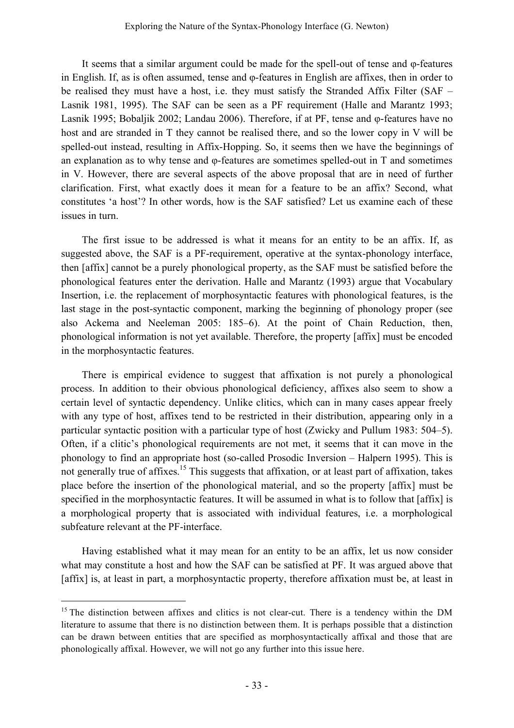It seems that a similar argument could be made for the spell-out of tense and φ-features in English. If, as is often assumed, tense and φ-features in English are affixes, then in order to be realised they must have a host, i.e. they must satisfy the Stranded Affix Filter (SAF – Lasnik 1981, 1995). The SAF can be seen as a PF requirement (Halle and Marantz 1993; Lasnik 1995; Bobaljik 2002; Landau 2006). Therefore, if at PF, tense and φ-features have no host and are stranded in T they cannot be realised there, and so the lower copy in V will be spelled-out instead, resulting in Affix-Hopping. So, it seems then we have the beginnings of an explanation as to why tense and φ-features are sometimes spelled-out in T and sometimes in V. However, there are several aspects of the above proposal that are in need of further clarification. First, what exactly does it mean for a feature to be an affix? Second, what constitutes 'a host'? In other words, how is the SAF satisfied? Let us examine each of these issues in turn.

The first issue to be addressed is what it means for an entity to be an affix. If, as suggested above, the SAF is a PF-requirement, operative at the syntax-phonology interface, then [affix] cannot be a purely phonological property, as the SAF must be satisfied before the phonological features enter the derivation. Halle and Marantz (1993) argue that Vocabulary Insertion, i.e. the replacement of morphosyntactic features with phonological features, is the last stage in the post-syntactic component, marking the beginning of phonology proper (see also Ackema and Neeleman 2005: 185–6). At the point of Chain Reduction, then, phonological information is not yet available. Therefore, the property [affix] must be encoded in the morphosyntactic features.

There is empirical evidence to suggest that affixation is not purely a phonological process. In addition to their obvious phonological deficiency, affixes also seem to show a certain level of syntactic dependency. Unlike clitics, which can in many cases appear freely with any type of host, affixes tend to be restricted in their distribution, appearing only in a particular syntactic position with a particular type of host (Zwicky and Pullum 1983: 504–5). Often, if a clitic's phonological requirements are not met, it seems that it can move in the phonology to find an appropriate host (so-called Prosodic Inversion – Halpern 1995). This is not generally true of affixes.<sup>15</sup> This suggests that affixation, or at least part of affixation, takes place before the insertion of the phonological material, and so the property [affix] must be specified in the morphosyntactic features. It will be assumed in what is to follow that [affix] is a morphological property that is associated with individual features, i.e. a morphological subfeature relevant at the PF-interface.

Having established what it may mean for an entity to be an affix, let us now consider what may constitute a host and how the SAF can be satisfied at PF. It was argued above that [affix] is, at least in part, a morphosyntactic property, therefore affixation must be, at least in

<sup>&</sup>lt;sup>15</sup> The distinction between affixes and clitics is not clear-cut. There is a tendency within the DM literature to assume that there is no distinction between them. It is perhaps possible that a distinction can be drawn between entities that are specified as morphosyntactically affixal and those that are phonologically affixal. However, we will not go any further into this issue here.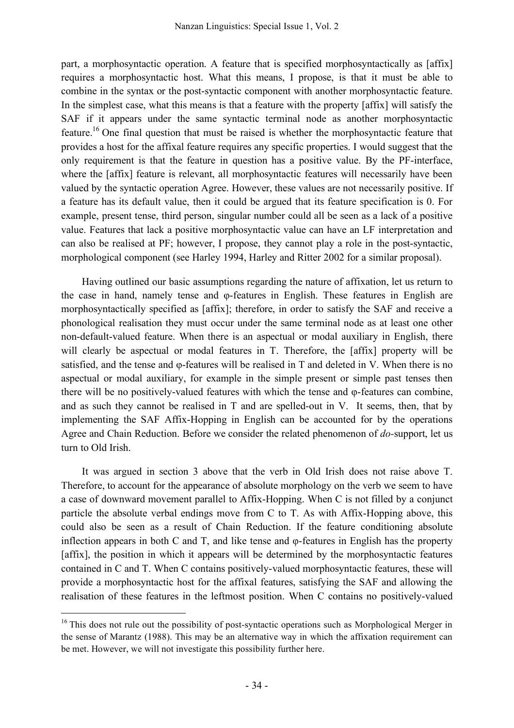part, a morphosyntactic operation. A feature that is specified morphosyntactically as [affix] requires a morphosyntactic host. What this means, I propose, is that it must be able to combine in the syntax or the post-syntactic component with another morphosyntactic feature. In the simplest case, what this means is that a feature with the property [affix] will satisfy the SAF if it appears under the same syntactic terminal node as another morphosyntactic feature.<sup>16</sup> One final question that must be raised is whether the morphosyntactic feature that provides a host for the affixal feature requires any specific properties. I would suggest that the only requirement is that the feature in question has a positive value. By the PF-interface, where the [affix] feature is relevant, all morphosyntactic features will necessarily have been valued by the syntactic operation Agree. However, these values are not necessarily positive. If a feature has its default value, then it could be argued that its feature specification is 0. For example, present tense, third person, singular number could all be seen as a lack of a positive value. Features that lack a positive morphosyntactic value can have an LF interpretation and can also be realised at PF; however, I propose, they cannot play a role in the post-syntactic, morphological component (see Harley 1994, Harley and Ritter 2002 for a similar proposal).

Having outlined our basic assumptions regarding the nature of affixation, let us return to the case in hand, namely tense and φ-features in English. These features in English are morphosyntactically specified as [affix]; therefore, in order to satisfy the SAF and receive a phonological realisation they must occur under the same terminal node as at least one other non-default-valued feature. When there is an aspectual or modal auxiliary in English, there will clearly be aspectual or modal features in T. Therefore, the [affix] property will be satisfied, and the tense and φ-features will be realised in T and deleted in V. When there is no aspectual or modal auxiliary, for example in the simple present or simple past tenses then there will be no positively-valued features with which the tense and φ-features can combine, and as such they cannot be realised in T and are spelled-out in V. It seems, then, that by implementing the SAF Affix-Hopping in English can be accounted for by the operations Agree and Chain Reduction. Before we consider the related phenomenon of *do-*support, let us turn to Old Irish.

It was argued in section 3 above that the verb in Old Irish does not raise above T. Therefore, to account for the appearance of absolute morphology on the verb we seem to have a case of downward movement parallel to Affix-Hopping. When C is not filled by a conjunct particle the absolute verbal endings move from C to T. As with Affix-Hopping above, this could also be seen as a result of Chain Reduction. If the feature conditioning absolute inflection appears in both C and T, and like tense and φ-features in English has the property [affix], the position in which it appears will be determined by the morphosyntactic features contained in C and T. When C contains positively-valued morphosyntactic features, these will provide a morphosyntactic host for the affixal features, satisfying the SAF and allowing the realisation of these features in the leftmost position. When C contains no positively-valued

<sup>&</sup>lt;sup>16</sup> This does not rule out the possibility of post-syntactic operations such as Morphological Merger in the sense of Marantz (1988). This may be an alternative way in which the affixation requirement can be met. However, we will not investigate this possibility further here.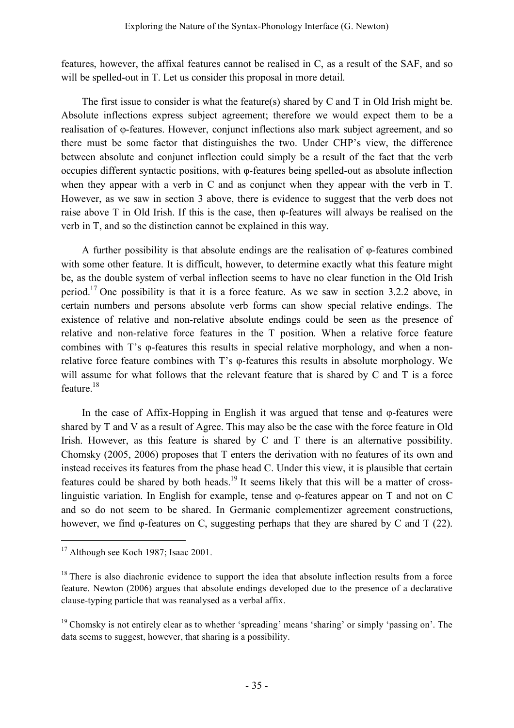features, however, the affixal features cannot be realised in C, as a result of the SAF, and so will be spelled-out in T. Let us consider this proposal in more detail.

The first issue to consider is what the feature(s) shared by C and T in Old Irish might be. Absolute inflections express subject agreement; therefore we would expect them to be a realisation of φ-features. However, conjunct inflections also mark subject agreement, and so there must be some factor that distinguishes the two. Under CHP's view, the difference between absolute and conjunct inflection could simply be a result of the fact that the verb occupies different syntactic positions, with φ-features being spelled-out as absolute inflection when they appear with a verb in C and as conjunct when they appear with the verb in T. However, as we saw in section 3 above, there is evidence to suggest that the verb does not raise above T in Old Irish. If this is the case, then φ-features will always be realised on the verb in T, and so the distinction cannot be explained in this way.

A further possibility is that absolute endings are the realisation of φ-features combined with some other feature. It is difficult, however, to determine exactly what this feature might be, as the double system of verbal inflection seems to have no clear function in the Old Irish period.<sup>17</sup> One possibility is that it is a force feature. As we saw in section 3.2.2 above, in certain numbers and persons absolute verb forms can show special relative endings. The existence of relative and non-relative absolute endings could be seen as the presence of relative and non-relative force features in the T position. When a relative force feature combines with T's φ-features this results in special relative morphology, and when a nonrelative force feature combines with T's φ-features this results in absolute morphology. We will assume for what follows that the relevant feature that is shared by C and T is a force feature. 18

In the case of Affix-Hopping in English it was argued that tense and φ-features were shared by T and V as a result of Agree. This may also be the case with the force feature in Old Irish. However, as this feature is shared by C and T there is an alternative possibility. Chomsky (2005, 2006) proposes that T enters the derivation with no features of its own and instead receives its features from the phase head C. Under this view, it is plausible that certain features could be shared by both heads.<sup>19</sup> It seems likely that this will be a matter of crosslinguistic variation. In English for example, tense and φ-features appear on T and not on C and so do not seem to be shared. In Germanic complementizer agreement constructions, however, we find φ-features on C, suggesting perhaps that they are shared by C and T (22).

<sup>&</sup>lt;sup>17</sup> Although see Koch 1987; Isaac 2001.

 $18$  There is also diachronic evidence to support the idea that absolute inflection results from a force feature. Newton (2006) argues that absolute endings developed due to the presence of a declarative clause-typing particle that was reanalysed as a verbal affix.

<sup>&</sup>lt;sup>19</sup> Chomsky is not entirely clear as to whether 'spreading' means 'sharing' or simply 'passing on'. The data seems to suggest, however, that sharing is a possibility.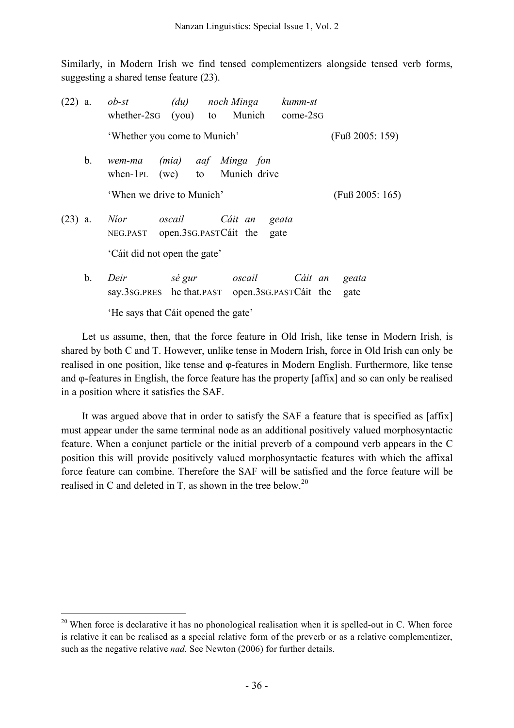Similarly, in Modern Irish we find tensed complementizers alongside tensed verb forms, suggesting a shared tense feature (23).

| $(22)$ a. |    | $ob$ -st<br>whether-2sG (you) to Munich                     | (du)                  | noch Minga      | kumm-st<br>come-2sG |               |  |
|-----------|----|-------------------------------------------------------------|-----------------------|-----------------|---------------------|---------------|--|
|           |    | 'Whether you come to Munich'                                | $(Fu\beta 2005: 159)$ |                 |                     |               |  |
|           | b. | wem-ma (mia) aaf Minga fon<br>when-1PL (we) to Munich drive |                       |                 |                     |               |  |
|           |    | 'When we drive to Munich'                                   | $(Fu\beta 2005: 165)$ |                 |                     |               |  |
| $(23)$ a. |    | <i>Nior</i><br>NEG.PAST open.3sG.PASTCait the               | oscail                | Cáit an<br>gate | geata               |               |  |
|           |    | 'Cáit did not open the gate'                                |                       |                 |                     |               |  |
|           | b. | Deir<br>say.3sG.PRES he that.PAST open.3sG.PASTCait the     | sé gur                | oscail          | Cáit an             | geata<br>gate |  |

'He says that Cáit opened the gate'

Let us assume, then, that the force feature in Old Irish, like tense in Modern Irish, is shared by both C and T. However, unlike tense in Modern Irish, force in Old Irish can only be realised in one position, like tense and φ-features in Modern English. Furthermore, like tense and φ-features in English, the force feature has the property [affix] and so can only be realised in a position where it satisfies the SAF.

It was argued above that in order to satisfy the SAF a feature that is specified as [affix] must appear under the same terminal node as an additional positively valued morphosyntactic feature. When a conjunct particle or the initial preverb of a compound verb appears in the C position this will provide positively valued morphosyntactic features with which the affixal force feature can combine. Therefore the SAF will be satisfied and the force feature will be realised in C and deleted in T, as shown in the tree below.<sup>20</sup>

<sup>&</sup>lt;sup>20</sup> When force is declarative it has no phonological realisation when it is spelled-out in C. When force is relative it can be realised as a special relative form of the preverb or as a relative complementizer, such as the negative relative *nad.* See Newton (2006) for further details.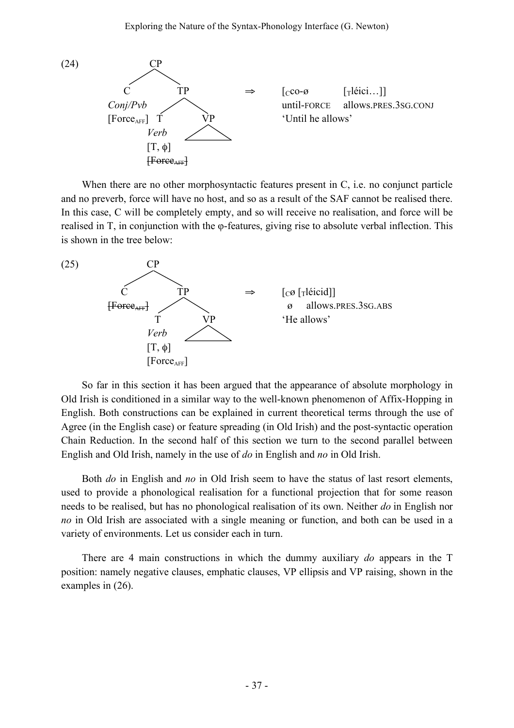

When there are no other morphosyntactic features present in C, i.e. no conjunct particle and no preverb, force will have no host, and so as a result of the SAF cannot be realised there. In this case, C will be completely empty, and so will receive no realisation, and force will be realised in T, in conjunction with the φ-features, giving rise to absolute verbal inflection. This is shown in the tree below:



So far in this section it has been argued that the appearance of absolute morphology in Old Irish is conditioned in a similar way to the well-known phenomenon of Affix-Hopping in English. Both constructions can be explained in current theoretical terms through the use of Agree (in the English case) or feature spreading (in Old Irish) and the post-syntactic operation Chain Reduction. In the second half of this section we turn to the second parallel between English and Old Irish, namely in the use of *do* in English and *no* in Old Irish.

Both *do* in English and *no* in Old Irish seem to have the status of last resort elements, used to provide a phonological realisation for a functional projection that for some reason needs to be realised, but has no phonological realisation of its own. Neither *do* in English nor *no* in Old Irish are associated with a single meaning or function, and both can be used in a variety of environments. Let us consider each in turn.

There are 4 main constructions in which the dummy auxiliary *do* appears in the T position: namely negative clauses, emphatic clauses, VP ellipsis and VP raising, shown in the examples in (26).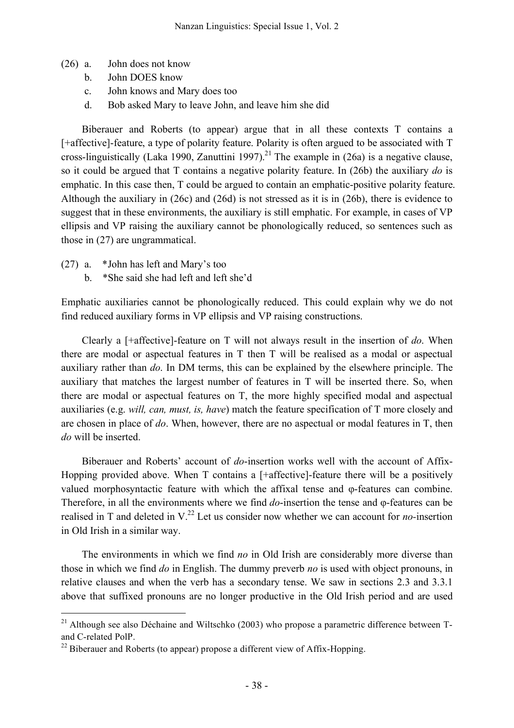- (26) a. John does not know
	- b. John DOES know
	- c. John knows and Mary does too
	- d. Bob asked Mary to leave John, and leave him she did

Biberauer and Roberts (to appear) argue that in all these contexts T contains a [+affective]-feature, a type of polarity feature. Polarity is often argued to be associated with T cross-linguistically (Laka 1990, Zanuttini 1997).<sup>21</sup> The example in (26a) is a negative clause, so it could be argued that T contains a negative polarity feature. In (26b) the auxiliary *do* is emphatic. In this case then, T could be argued to contain an emphatic-positive polarity feature. Although the auxiliary in (26c) and (26d) is not stressed as it is in (26b), there is evidence to suggest that in these environments, the auxiliary is still emphatic. For example, in cases of VP ellipsis and VP raising the auxiliary cannot be phonologically reduced, so sentences such as those in (27) are ungrammatical.

- (27) a. \*John has left and Mary's too
	- b. \*She said she had left and left she'd

Emphatic auxiliaries cannot be phonologically reduced. This could explain why we do not find reduced auxiliary forms in VP ellipsis and VP raising constructions.

Clearly a [+affective]-feature on T will not always result in the insertion of *do*. When there are modal or aspectual features in T then T will be realised as a modal or aspectual auxiliary rather than *do*. In DM terms, this can be explained by the elsewhere principle. The auxiliary that matches the largest number of features in T will be inserted there. So, when there are modal or aspectual features on T, the more highly specified modal and aspectual auxiliaries (e.g. *will, can, must, is, have*) match the feature specification of T more closely and are chosen in place of *do*. When, however, there are no aspectual or modal features in T, then *do* will be inserted.

Biberauer and Roberts' account of *do*-insertion works well with the account of Affix-Hopping provided above. When T contains a [+affective]-feature there will be a positively valued morphosyntactic feature with which the affixal tense and φ-features can combine. Therefore, in all the environments where we find *do*-insertion the tense and φ-features can be realised in T and deleted in V. <sup>22</sup> Let us consider now whether we can account for *no-*insertion in Old Irish in a similar way.

The environments in which we find *no* in Old Irish are considerably more diverse than those in which we find *do* in English. The dummy preverb *no* is used with object pronouns, in relative clauses and when the verb has a secondary tense. We saw in sections 2.3 and 3.3.1 above that suffixed pronouns are no longer productive in the Old Irish period and are used

<sup>&</sup>lt;sup>21</sup> Although see also Déchaine and Wiltschko (2003) who propose a parametric difference between Tand C-related PolP.

 $^{22}$  Biberauer and Roberts (to appear) propose a different view of Affix-Hopping.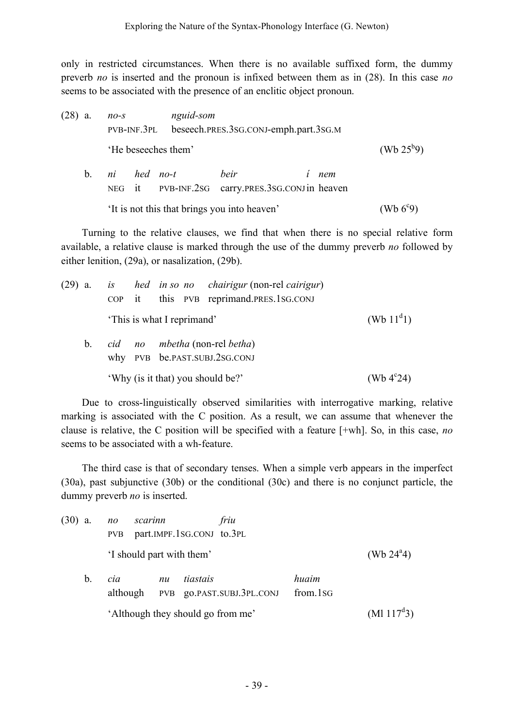only in restricted circumstances. When there is no available suffixed form, the dummy preverb *no* is inserted and the pronoun is infixed between them as in (28). In this case *no* seems to be associated with the presence of an enclitic object pronoun.

(28) a. *no-s nguid-som* PVB-INF.3PL beseech.PRES.3SG.CONJ-emph.part.3SG.M 'He beseeches them' (Wb  $25^{b}9$ ) b. *ni hed no-t beir í nem* NEG it PVB-INF.2SG carry.PRES.3SG.CONJin heaven 'It is not this that brings you into heaven' (Wb  $6^{\circ}9$ )

Turning to the relative clauses, we find that when there is no special relative form available, a relative clause is marked through the use of the dummy preverb *no* followed by either lenition, (29a), or nasalization, (29b).

| $(29)$ a. |         |  |                            | is hed in so no chairigur (non-rel cairigur)<br>COP it this PVB reprimand.PRES.1SG.CONJ |                     |
|-----------|---------|--|----------------------------|-----------------------------------------------------------------------------------------|---------------------|
|           |         |  | 'This is what I reprimand' |                                                                                         | (Wb $11^d$ 1)       |
|           | $b_{1}$ |  |                            | cid no mbetha (non-rel betha)<br>why PVB be.PAST.SUBJ.2SG.CONJ                          |                     |
|           |         |  |                            | 'Why (is it that) you should be?'                                                       | (Wb $4^{\circ}24$ ) |

Due to cross-linguistically observed similarities with interrogative marking, relative marking is associated with the C position. As a result, we can assume that whenever the clause is relative, the C position will be specified with a feature [+wh]. So, in this case, *no* seems to be associated with a wh-feature.

The third case is that of secondary tenses. When a simple verb appears in the imperfect (30a), past subjunctive (30b) or the conditional (30c) and there is no conjunct particle, the dummy preverb *no* is inserted.

| $(30)$ a. |    | $n_{O}$<br>PVB  | scarinn |    |                           | friu<br>part.IMPF.1SG.CONJ to.3PL |                   |  |                     |  |  |
|-----------|----|-----------------|---------|----|---------------------------|-----------------------------------|-------------------|--|---------------------|--|--|
|           |    |                 |         |    | 'I should part with them' |                                   |                   |  | (Wb $24^{\circ}4$ ) |  |  |
|           | b. | cia<br>although |         | nu | tiastais                  | PVB go.PAST.SUBJ.3PL.CONJ         | huaim<br>from 1sG |  |                     |  |  |
|           |    |                 |         |    |                           | 'Although they should go from me' |                   |  | $(Ml 117^d3)$       |  |  |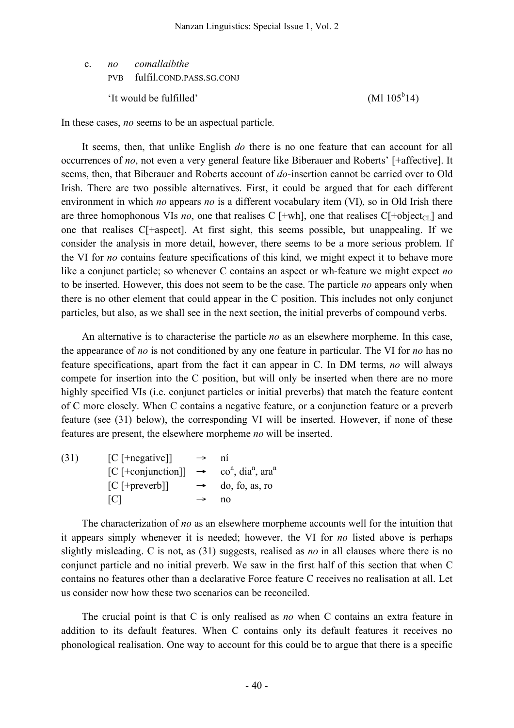c. *no comallaibthe* PVB fulfil.COND.PASS.SG.CONJ 'It would be ful filled'

 $(Ml 105^b 14)$ 

In these cases, *no* seems to be an aspectual particle.

It seems, then, that unlike English *do* there is no one feature that can account for all occurrences of *no*, not even a very general feature like Biberauer and Roberts' [+affective]. It seems, then, that Biberauer and Roberts account of *do*-insertion cannot be carried over to Old Irish. There are two possible alternatives. First, it could be argued that for each different environment in which *no* appears *no* is a different vocabulary item (VI), so in Old Irish there are three homophonous VIs *no*, one that realises C  $[+wh]$ , one that realises C $[+object_{CL}]$  and one that realises C[+aspect]. At first sight, this seems possible, but unappealing. If we consider the analysis in more detail, however, there seems to be a more serious problem. If the VI for *no* contains feature specifications of this kind, we might expect it to behave more like a conjunct particle; so whenever C contains an aspect or wh-feature we might expect *no* to be inserted. However, this does not seem to be the case. The particle *no* appears only when there is no other element that could appear in the C position. This includes not only conjunct particles, but also, as we shall see in the next section, the initial preverbs of compound verbs.

An alternative is to characterise the particle *no* as an elsewhere morpheme. In this case, the appearance of *no* is not conditioned by any one feature in particular. The VI for *no* has no feature specifications, apart from the fact it can appear in C. In DM terms, *no* will always compete for insertion into the C position, but will only be inserted when there are no more highly specified VIs (i.e. conjunct particles or initial preverbs) that match the feature content of C more closely. When C contains a negative feature, or a conjunction feature or a preverb feature (see (31) below), the corresponding VI will be inserted. However, if none of these features are present, the elsewhere morpheme *no* will be inserted.

| (31) | $[C$ [+negative]]                                                                        | $\rightarrow$ | ni                           |
|------|------------------------------------------------------------------------------------------|---------------|------------------------------|
|      | $[C$ [+conjunction]] $\rightarrow$ co <sup>n</sup> , dia <sup>n</sup> , ara <sup>n</sup> |               |                              |
|      | $[C$ [+preverb]]                                                                         |               | $\rightarrow$ do, fo, as, ro |
|      | TCT                                                                                      | $\rightarrow$ | no                           |

The characterization of *no* as an elsewhere morpheme accounts well for the intuition that it appears simply whenever it is needed; however, the VI for *no* listed above is perhaps slightly misleading. C is not, as (31) suggests, realised as *no* in all clauses where there is no conjunct particle and no initial preverb. We saw in the first half of this section that when C contains no features other than a declarative Force feature C receives no realisation at all. Let us consider now how these two scenarios can be reconciled.

The crucial point is that C is only realised as *no* when C contains an extra feature in addition to its default features. When C contains only its default features it receives no phonological realisation. One way to account for this could be to argue that there is a specific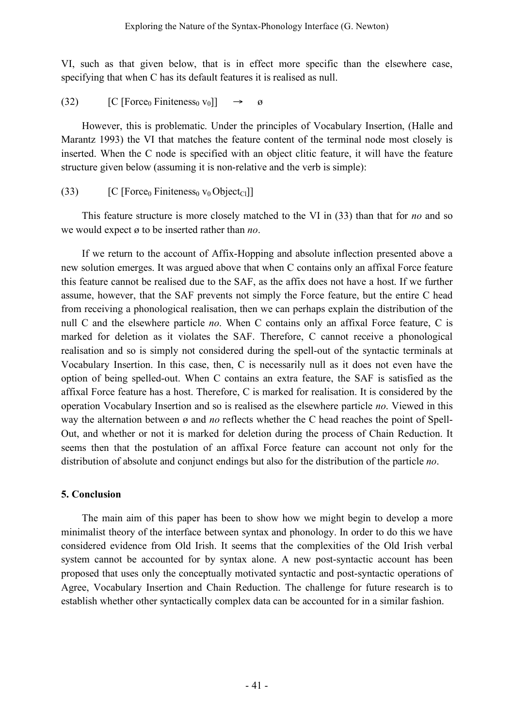VI, such as that given below, that is in effect more specific than the elsewhere case, specifying that when C has its default features it is realised as null.

(32)  $[C$  [Force<sub>0</sub> Finiteness<sub>0</sub> v<sub>0</sub>]]  $\rightarrow \emptyset$ 

However, this is problematic. Under the principles of Vocabulary Insertion, (Halle and Marantz 1993) the VI that matches the feature content of the terminal node most closely is inserted. When the C node is specified with an object clitic feature, it will have the feature structure given below (assuming it is non-relative and the verb is simple):

(33)  $[C$  [Force<sub>0</sub> Finiteness<sub>0</sub> v<sub>0</sub> Object<sub>Cl</sub>]]

This feature structure is more closely matched to the VI in (33) than that for *no* and so we would expect ø to be inserted rather than *no*.

If we return to the account of Affix-Hopping and absolute inflection presented above a new solution emerges. It was argued above that when C contains only an affixal Force feature this feature cannot be realised due to the SAF, as the affix does not have a host. If we further assume, however, that the SAF prevents not simply the Force feature, but the entire C head from receiving a phonological realisation, then we can perhaps explain the distribution of the null C and the elsewhere particle *no*. When C contains only an affixal Force feature, C is marked for deletion as it violates the SAF. Therefore, C cannot receive a phonological realisation and so is simply not considered during the spell-out of the syntactic terminals at Vocabulary Insertion. In this case, then, C is necessarily null as it does not even have the option of being spelled-out. When C contains an extra feature, the SAF is satisfied as the affixal Force feature has a host. Therefore, C is marked for realisation. It is considered by the operation Vocabulary Insertion and so is realised as the elsewhere particle *no*. Viewed in this way the alternation between  $\varnothing$  and *no* reflects whether the C head reaches the point of Spell-Out, and whether or not it is marked for deletion during the process of Chain Reduction. It seems then that the postulation of an affixal Force feature can account not only for the distribution of absolute and conjunct endings but also for the distribution of the particle *no*.

# **5. Conclusion**

The main aim of this paper has been to show how we might begin to develop a more minimalist theory of the interface between syntax and phonology. In order to do this we have considered evidence from Old Irish. It seems that the complexities of the Old Irish verbal system cannot be accounted for by syntax alone. A new post-syntactic account has been proposed that uses only the conceptually motivated syntactic and post-syntactic operations of Agree, Vocabulary Insertion and Chain Reduction. The challenge for future research is to establish whether other syntactically complex data can be accounted for in a similar fashion.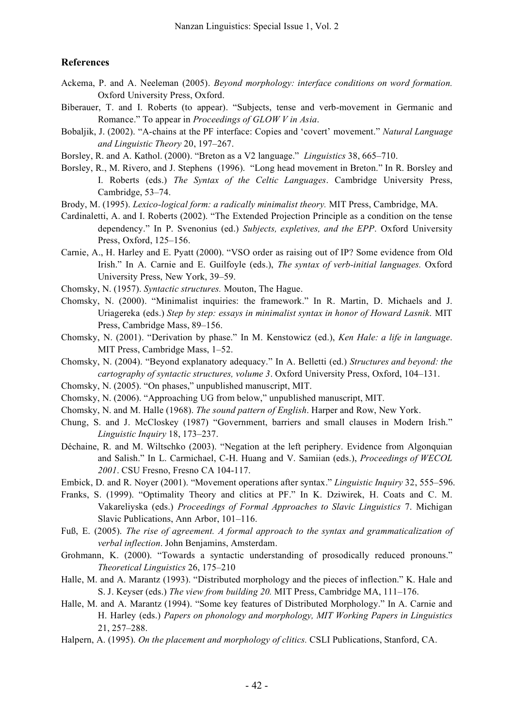## **References**

- Ackema, P. and A. Neeleman (2005). *Beyond morphology: interface conditions on word formation.* Oxford University Press, Oxford.
- Biberauer, T. and I. Roberts (to appear). "Subjects, tense and verb-movement in Germanic and Romance." To appear in *Proceedings of GLOW V in Asia*.
- Bobaljik, J. (2002). "A-chains at the PF interface: Copies and 'covert' movement." *Natural Language and Linguistic Theory* 20, 197–267.
- Borsley, R. and A. Kathol. (2000). "Breton as a V2 language." *Linguistics* 38, 665–710.
- Borsley, R., M. Rivero, and J. Stephens (1996). "Long head movement in Breton." In R. Borsley and I. Roberts (eds.) *The Syntax of the Celtic Languages*. Cambridge University Press, Cambridge, 53–74.
- Brody, M. (1995). *Lexico-logical form: a radically minimalist theory.* MIT Press, Cambridge, MA.
- Cardinaletti, A. and I. Roberts (2002). "The Extended Projection Principle as a condition on the tense dependency." In P. Svenonius (ed.) *Subjects, expletives, and the EPP*. Oxford University Press, Oxford, 125–156.
- Carnie, A., H. Harley and E. Pyatt (2000). "VSO order as raising out of IP? Some evidence from Old Irish." In A. Carnie and E. Guilfoyle (eds.), *The syntax of verb-initial languages.* Oxford University Press, New York, 39–59.
- Chomsky, N. (1957). *Syntactic structures.* Mouton, The Hague.
- Chomsky, N. (2000). "Minimalist inquiries: the framework." In R. Martin, D. Michaels and J. Uriagereka (eds.) *Step by step: essays in minimalist syntax in honor of Howard Lasnik*. MIT Press, Cambridge Mass, 89–156.
- Chomsky, N. (2001). "Derivation by phase." In M. Kenstowicz (ed.), *Ken Hale: a life in language*. MIT Press, Cambridge Mass, 1–52.
- Chomsky, N. (2004). "Beyond explanatory adequacy." In A. Belletti (ed.) *Structures and beyond: the cartography of syntactic structures, volume 3*. Oxford University Press, Oxford, 104–131.
- Chomsky, N. (2005). "On phases," unpublished manuscript, MIT.
- Chomsky, N. (2006). "Approaching UG from below," unpublished manuscript, MIT.
- Chomsky, N. and M. Halle (1968). *The sound pattern of English*. Harper and Row, New York.
- Chung, S. and J. McCloskey (1987) "Government, barriers and small clauses in Modern Irish." *Linguistic Inquiry* 18, 173–237.
- Déchaine, R. and M. Wiltschko (2003). "Negation at the left periphery. Evidence from Algonquian and Salish." In L. Carmichael, C-H. Huang and V. Samiian (eds.), *Proceedings of WECOL 2001*. CSU Fresno, Fresno CA 104-117.
- Embick, D. and R. Noyer (2001). "Movement operations after syntax." *Linguistic Inquiry* 32, 555–596.
- Franks, S. (1999). "Optimality Theory and clitics at PF." In K. Dziwirek, H. Coats and C. M. Vakareliyska (eds.) *Proceedings of Formal Approaches to Slavic Linguistics* 7. Michigan Slavic Publications, Ann Arbor, 101–116.
- Fuß, E. (2005). *The rise of agreement. A formal approach to the syntax and grammaticalization of verbal inflection*. John Benjamins, Amsterdam.
- Grohmann, K. (2000). "Towards a syntactic understanding of prosodically reduced pronouns." *Theoretical Linguistics* 26, 175–210
- Halle, M. and A. Marantz (1993). "Distributed morphology and the pieces of inflection." K. Hale and S. J. Keyser (eds.) *The view from building 20.* MIT Press, Cambridge MA, 111–176.
- Halle, M. and A. Marantz (1994). "Some key features of Distributed Morphology." In A. Carnie and H. Harley (eds.) *Papers on phonology and morphology, MIT Working Papers in Linguistics* 21, 257–288.
- Halpern, A. (1995). *On the placement and morphology of clitics.* CSLI Publications, Stanford, CA.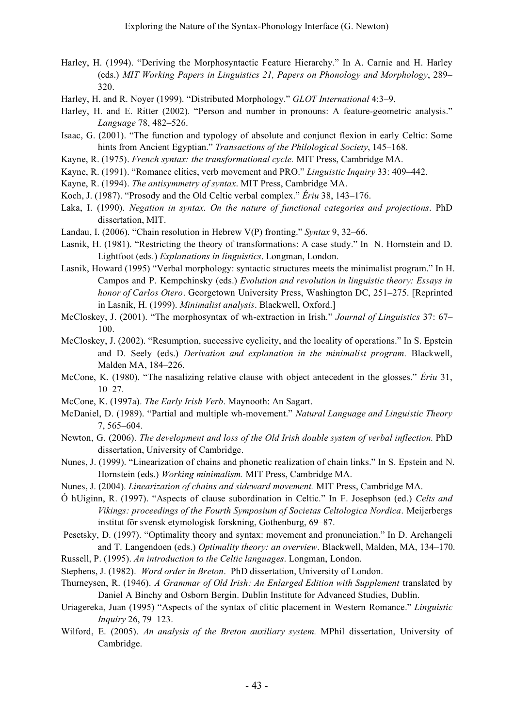- Harley, H. (1994). "Deriving the Morphosyntactic Feature Hierarchy." In A. Carnie and H. Harley (eds.) *MIT Working Papers in Linguistics 21, Papers on Phonology and Morphology*, 289– 320.
- Harley, H. and R. Noyer (1999). "Distributed Morphology." *GLOT International* 4:3–9.
- Harley, H. and E. Ritter (2002). "Person and number in pronouns: A feature-geometric analysis." *Language* 78, 482–526.
- Isaac, G. (2001). "The function and typology of absolute and conjunct flexion in early Celtic: Some hints from Ancient Egyptian." *Transactions of the Philological Society*, 145–168.
- Kayne, R. (1975). *French syntax: the transformational cycle.* MIT Press, Cambridge MA.
- Kayne, R. (1991). "Romance clitics, verb movement and PRO." *Linguistic Inquiry* 33: 409–442.
- Kayne, R. (1994). *The antisymmetry of syntax*. MIT Press, Cambridge MA.
- Koch, J. (1987). "Prosody and the Old Celtic verbal complex." *Ériu* 38, 143–176.
- Laka, I. (1990). *Negation in syntax. On the nature of functional categories and projections*. PhD dissertation, MIT.
- Landau, I. (2006). "Chain resolution in Hebrew V(P) fronting." *Syntax* 9, 32–66.
- Lasnik, H. (1981). "Restricting the theory of transformations: A case study." In N. Hornstein and D. Lightfoot (eds.) *Explanations in linguistics*. Longman, London.
- Lasnik, Howard (1995) "Verbal morphology: syntactic structures meets the minimalist program." In H. Campos and P. Kempchinsky (eds.) *Evolution and revolution in linguistic theory: Essays in honor of Carlos Otero*. Georgetown University Press, Washington DC, 251–275. [Reprinted in Lasnik, H. (1999). *Minimalist analysis*. Blackwell, Oxford.]
- McCloskey, J. (2001). "The morphosyntax of wh-extraction in Irish." *Journal of Linguistics* 37: 67– 100.
- McCloskey, J. (2002). "Resumption, successive cyclicity, and the locality of operations." In S. Epstein and D. Seely (eds.) *Derivation and explanation in the minimalist program*. Blackwell, Malden MA, 184–226.
- McCone, K. (1980). "The nasalizing relative clause with object antecedent in the glosses." *Ériu* 31, 10–27.
- McCone, K. (1997a). *The Early Irish Verb*. Maynooth: An Sagart.
- McDaniel, D. (1989). "Partial and multiple wh-movement." *Natural Language and Linguistic Theory* 7, 565–604.
- Newton, G. (2006). *The development and loss of the Old Irish double system of verbal inflection.* PhD dissertation, University of Cambridge.
- Nunes, J. (1999). "Linearization of chains and phonetic realization of chain links." In S. Epstein and N. Hornstein (eds.) *Working minimalism.* MIT Press, Cambridge MA.
- Nunes, J. (2004). *Linearization of chains and sideward movement.* MIT Press, Cambridge MA.
- Ó hUiginn, R. (1997). "Aspects of clause subordination in Celtic." In F. Josephson (ed.) *Celts and Vikings: proceedings of the Fourth Symposium of Societas Celtologica Nordica*. Meijerbergs institut för svensk etymologisk forskning, Gothenburg, 69–87.
- Pesetsky, D. (1997). "Optimality theory and syntax: movement and pronunciation." In D. Archangeli and T. Langendoen (eds.) *Optimality theory: an overview*. Blackwell, Malden, MA, 134–170.
- Russell, P. (1995). *An introduction to the Celtic languages*. Longman, London.
- Stephens, J. (1982). *Word order in Breton*. PhD dissertation, University of London.
- Thurneysen, R. (1946). *A Grammar of Old Irish: An Enlarged Edition with Supplement* translated by Daniel A Binchy and Osborn Bergin. Dublin Institute for Advanced Studies, Dublin.
- Uriagereka, Juan (1995) "Aspects of the syntax of clitic placement in Western Romance." *Linguistic Inquiry* 26, 79–123.
- Wilford, E. (2005). *An analysis of the Breton auxiliary system.* MPhil dissertation, University of Cambridge.